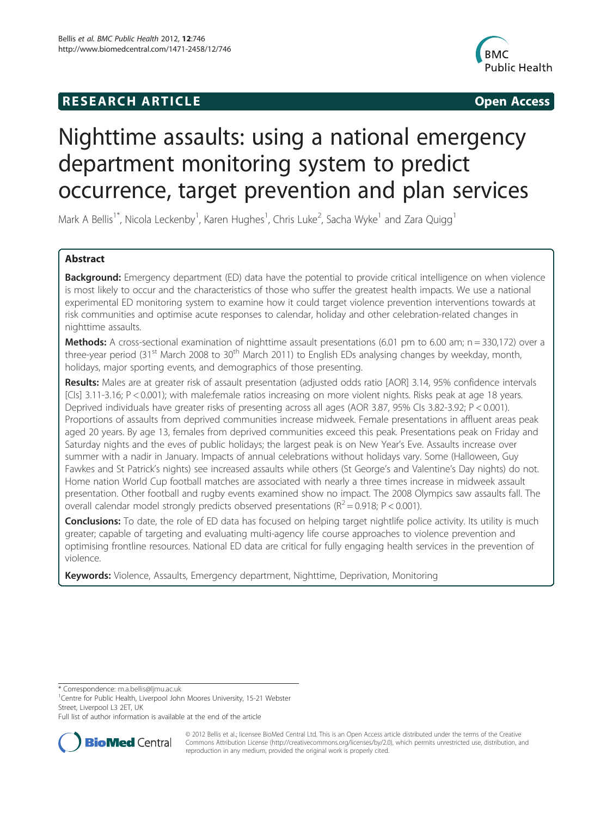# **RESEARCH ARTICLE Example 2014 12:30 The SEAR CHA RESEARCH ARTICLE**



# Nighttime assaults: using a national emergency department monitoring system to predict occurrence, target prevention and plan services

Mark A Bellis<sup>1\*</sup>, Nicola Leckenby<sup>1</sup>, Karen Hughes<sup>1</sup>, Chris Luke<sup>2</sup>, Sacha Wyke<sup>1</sup> and Zara Quigg<sup>1</sup>

# Abstract

Background: Emergency department (ED) data have the potential to provide critical intelligence on when violence is most likely to occur and the characteristics of those who suffer the greatest health impacts. We use a national experimental ED monitoring system to examine how it could target violence prevention interventions towards at risk communities and optimise acute responses to calendar, holiday and other celebration-related changes in nighttime assaults.

Methods: A cross-sectional examination of nighttime assault presentations (6.01 pm to 6.00 am;  $n = 330,172$ ) over a three-year period (31st March 2008 to 30<sup>th</sup> March 2011) to English EDs analysing changes by weekday, month, holidays, major sporting events, and demographics of those presenting.

Results: Males are at greater risk of assault presentation (adjusted odds ratio [AOR] 3.14, 95% confidence intervals [CIs] 3.11-3.16; P < 0.001); with male:female ratios increasing on more violent nights. Risks peak at age 18 years. Deprived individuals have greater risks of presenting across all ages (AOR 3.87, 95% CIs 3.82-3.92; P < 0.001). Proportions of assaults from deprived communities increase midweek. Female presentations in affluent areas peak aged 20 years. By age 13, females from deprived communities exceed this peak. Presentations peak on Friday and Saturday nights and the eves of public holidays; the largest peak is on New Year's Eve. Assaults increase over summer with a nadir in January. Impacts of annual celebrations without holidays vary. Some (Halloween, Guy Fawkes and St Patrick's nights) see increased assaults while others (St George's and Valentine's Day nights) do not. Home nation World Cup football matches are associated with nearly a three times increase in midweek assault presentation. Other football and rugby events examined show no impact. The 2008 Olympics saw assaults fall. The overall calendar model strongly predicts observed presentations ( $R^2$  = 0.918; P < 0.001).

Conclusions: To date, the role of ED data has focused on helping target nightlife police activity. Its utility is much greater; capable of targeting and evaluating multi-agency life course approaches to violence prevention and optimising frontline resources. National ED data are critical for fully engaging health services in the prevention of violence.

**Keywords:** Violence, Assaults, Emergency department, Nighttime, Deprivation, Monitoring

\* Correspondence: [m.a.bellis@ljmu.ac.uk](mailto:m.a.bellis@ljmu.ac.uk) <sup>1</sup>

<sup>1</sup> Centre for Public Health, Liverpool John Moores University, 15-21 Webster Street, Liverpool L3 2ET, UK

Full list of author information is available at the end of the article



© 2012 Bellis et al.; licensee BioMed Central Ltd. This is an Open Access article distributed under the terms of the Creative Commons Attribution License [\(http://creativecommons.org/licenses/by/2.0\)](http://creativecommons.org/licenses/by/2.0), which permits unrestricted use, distribution, and reproduction in any medium, provided the original work is properly cited.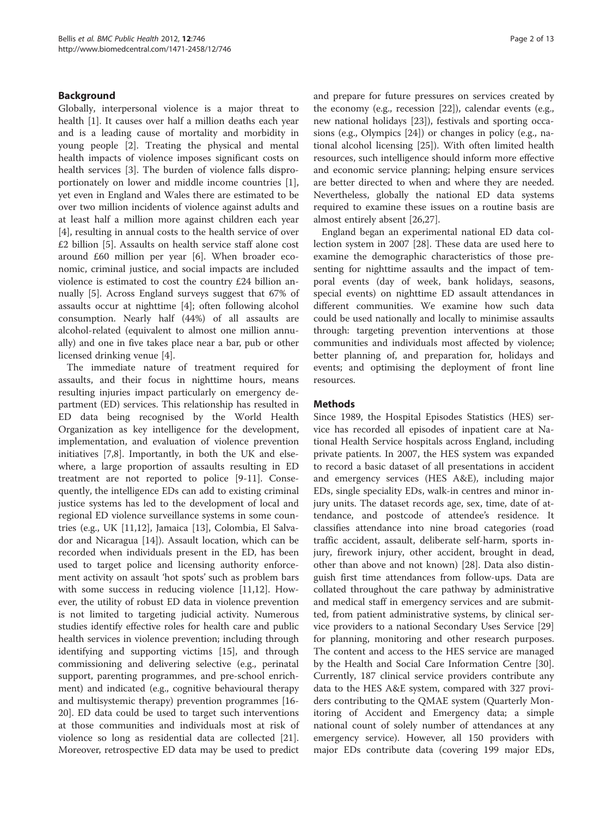# Background

Globally, interpersonal violence is a major threat to health [\[1](#page-11-0)]. It causes over half a million deaths each year and is a leading cause of mortality and morbidity in young people [[2](#page-11-0)]. Treating the physical and mental health impacts of violence imposes significant costs on health services [[3\]](#page-11-0). The burden of violence falls disproportionately on lower and middle income countries [\[1](#page-11-0)], yet even in England and Wales there are estimated to be over two million incidents of violence against adults and at least half a million more against children each year [[4\]](#page-11-0), resulting in annual costs to the health service of over £2 billion [[5](#page-11-0)]. Assaults on health service staff alone cost around £60 million per year [[6\]](#page-11-0). When broader economic, criminal justice, and social impacts are included violence is estimated to cost the country £24 billion annually [[5\]](#page-11-0). Across England surveys suggest that 67% of assaults occur at nighttime [[4\]](#page-11-0); often following alcohol consumption. Nearly half (44%) of all assaults are alcohol-related (equivalent to almost one million annually) and one in five takes place near a bar, pub or other licensed drinking venue [[4\]](#page-11-0).

The immediate nature of treatment required for assaults, and their focus in nighttime hours, means resulting injuries impact particularly on emergency department (ED) services. This relationship has resulted in ED data being recognised by the World Health Organization as key intelligence for the development, implementation, and evaluation of violence prevention initiatives [[7](#page-11-0),[8](#page-11-0)]. Importantly, in both the UK and elsewhere, a large proportion of assaults resulting in ED treatment are not reported to police [[9-11\]](#page-11-0). Consequently, the intelligence EDs can add to existing criminal justice systems has led to the development of local and regional ED violence surveillance systems in some countries (e.g., UK [[11,12\]](#page-11-0), Jamaica [[13\]](#page-11-0), Colombia, El Salvador and Nicaragua [\[14\]](#page-11-0)). Assault location, which can be recorded when individuals present in the ED, has been used to target police and licensing authority enforcement activity on assault 'hot spots' such as problem bars with some success in reducing violence [\[11,12](#page-11-0)]. However, the utility of robust ED data in violence prevention is not limited to targeting judicial activity. Numerous studies identify effective roles for health care and public health services in violence prevention; including through identifying and supporting victims [[15\]](#page-11-0), and through commissioning and delivering selective (e.g., perinatal support, parenting programmes, and pre-school enrichment) and indicated (e.g., cognitive behavioural therapy and multisystemic therapy) prevention programmes [\[16-](#page-11-0) [20\]](#page-11-0). ED data could be used to target such interventions at those communities and individuals most at risk of violence so long as residential data are collected [\[21](#page-11-0)]. Moreover, retrospective ED data may be used to predict

and prepare for future pressures on services created by the economy (e.g., recession [[22](#page-11-0)]), calendar events (e.g., new national holidays [\[23](#page-11-0)]), festivals and sporting occasions (e.g., Olympics [\[24](#page-11-0)]) or changes in policy (e.g., national alcohol licensing [\[25](#page-11-0)]). With often limited health resources, such intelligence should inform more effective and economic service planning; helping ensure services are better directed to when and where they are needed. Nevertheless, globally the national ED data systems required to examine these issues on a routine basis are almost entirely absent [[26,27\]](#page-11-0).

England began an experimental national ED data collection system in 2007 [\[28](#page-11-0)]. These data are used here to examine the demographic characteristics of those presenting for nighttime assaults and the impact of temporal events (day of week, bank holidays, seasons, special events) on nighttime ED assault attendances in different communities. We examine how such data could be used nationally and locally to minimise assaults through: targeting prevention interventions at those communities and individuals most affected by violence; better planning of, and preparation for, holidays and events; and optimising the deployment of front line resources.

# Methods

Since 1989, the Hospital Episodes Statistics (HES) service has recorded all episodes of inpatient care at National Health Service hospitals across England, including private patients. In 2007, the HES system was expanded to record a basic dataset of all presentations in accident and emergency services (HES A&E), including major EDs, single speciality EDs, walk-in centres and minor injury units. The dataset records age, sex, time, date of attendance, and postcode of attendee's residence. It classifies attendance into nine broad categories (road traffic accident, assault, deliberate self-harm, sports injury, firework injury, other accident, brought in dead, other than above and not known) [[28\]](#page-11-0). Data also distinguish first time attendances from follow-ups. Data are collated throughout the care pathway by administrative and medical staff in emergency services and are submitted, from patient administrative systems, by clinical service providers to a national Secondary Uses Service [[29](#page-11-0)] for planning, monitoring and other research purposes. The content and access to the HES service are managed by the Health and Social Care Information Centre [\[30](#page-11-0)]. Currently, 187 clinical service providers contribute any data to the HES A&E system, compared with 327 providers contributing to the QMAE system (Quarterly Monitoring of Accident and Emergency data; a simple national count of solely number of attendances at any emergency service). However, all 150 providers with major EDs contribute data (covering 199 major EDs,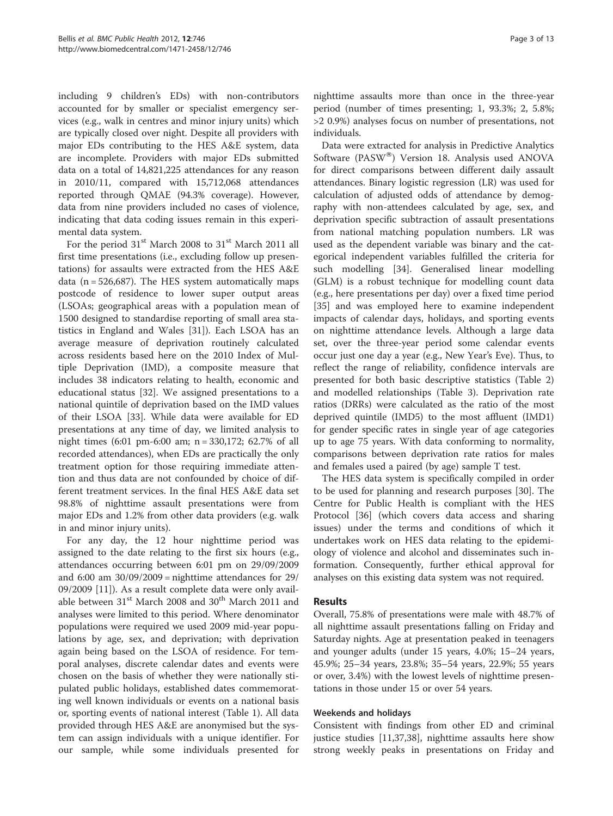including 9 children's EDs) with non-contributors accounted for by smaller or specialist emergency services (e.g., walk in centres and minor injury units) which are typically closed over night. Despite all providers with major EDs contributing to the HES A&E system, data are incomplete. Providers with major EDs submitted data on a total of 14,821,225 attendances for any reason in 2010/11, compared with 15,712,068 attendances reported through QMAE (94.3% coverage). However, data from nine providers included no cases of violence, indicating that data coding issues remain in this experimental data system.

For the period  $31<sup>st</sup>$  March 2008 to  $31<sup>st</sup>$  March 2011 all first time presentations (i.e., excluding follow up presentations) for assaults were extracted from the HES A&E data ( $n = 526,687$ ). The HES system automatically maps postcode of residence to lower super output areas (LSOAs; geographical areas with a population mean of 1500 designed to standardise reporting of small area statistics in England and Wales [\[31](#page-11-0)]). Each LSOA has an average measure of deprivation routinely calculated across residents based here on the 2010 Index of Multiple Deprivation (IMD), a composite measure that includes 38 indicators relating to health, economic and educational status [[32\]](#page-11-0). We assigned presentations to a national quintile of deprivation based on the IMD values of their LSOA [\[33](#page-11-0)]. While data were available for ED presentations at any time of day, we limited analysis to night times (6:01 pm-6:00 am; n = 330,172; 62.7% of all recorded attendances), when EDs are practically the only treatment option for those requiring immediate attention and thus data are not confounded by choice of different treatment services. In the final HES A&E data set 98.8% of nighttime assault presentations were from major EDs and 1.2% from other data providers (e.g. walk in and minor injury units).

For any day, the 12 hour nighttime period was assigned to the date relating to the first six hours (e.g., attendances occurring between 6:01 pm on 29/09/2009 and 6:00 am 30/09/2009 = nighttime attendances for 29/ 09/2009 [[11\]](#page-11-0)). As a result complete data were only available between 31<sup>st</sup> March 2008 and 30<sup>th</sup> March 2011 and analyses were limited to this period. Where denominator populations were required we used 2009 mid-year populations by age, sex, and deprivation; with deprivation again being based on the LSOA of residence. For temporal analyses, discrete calendar dates and events were chosen on the basis of whether they were nationally stipulated public holidays, established dates commemorating well known individuals or events on a national basis or, sporting events of national interest (Table [1\)](#page-3-0). All data provided through HES A&E are anonymised but the system can assign individuals with a unique identifier. For our sample, while some individuals presented for

nighttime assaults more than once in the three-year period (number of times presenting; 1, 93.3%; 2, 5.8%; >2 0.9%) analyses focus on number of presentations, not individuals.

Data were extracted for analysis in Predictive Analytics Software (PASW<sup>®</sup>) Version 18. Analysis used ANOVA for direct comparisons between different daily assault attendances. Binary logistic regression (LR) was used for calculation of adjusted odds of attendance by demography with non-attendees calculated by age, sex, and deprivation specific subtraction of assault presentations from national matching population numbers. LR was used as the dependent variable was binary and the categorical independent variables fulfilled the criteria for such modelling [\[34\]](#page-11-0). Generalised linear modelling (GLM) is a robust technique for modelling count data (e.g., here presentations per day) over a fixed time period [[35\]](#page-11-0) and was employed here to examine independent impacts of calendar days, holidays, and sporting events on nighttime attendance levels. Although a large data set, over the three-year period some calendar events occur just one day a year (e.g., New Year's Eve). Thus, to reflect the range of reliability, confidence intervals are presented for both basic descriptive statistics (Table [2](#page-4-0)) and modelled relationships (Table [3](#page-5-0)). Deprivation rate ratios (DRRs) were calculated as the ratio of the most deprived quintile (IMD5) to the most affluent (IMD1) for gender specific rates in single year of age categories up to age 75 years. With data conforming to normality, comparisons between deprivation rate ratios for males and females used a paired (by age) sample T test.

The HES data system is specifically compiled in order to be used for planning and research purposes [[30\]](#page-11-0). The Centre for Public Health is compliant with the HES Protocol [[36](#page-11-0)] (which covers data access and sharing issues) under the terms and conditions of which it undertakes work on HES data relating to the epidemiology of violence and alcohol and disseminates such information. Consequently, further ethical approval for analyses on this existing data system was not required.

# Results

Overall, 75.8% of presentations were male with 48.7% of all nighttime assault presentations falling on Friday and Saturday nights. Age at presentation peaked in teenagers and younger adults (under 15 years, 4.0%; 15–24 years, 45.9%; 25–34 years, 23.8%; 35–54 years, 22.9%; 55 years or over, 3.4%) with the lowest levels of nighttime presentations in those under 15 or over 54 years.

# Weekends and holidays

Consistent with findings from other ED and criminal justice studies [\[11,37](#page-11-0)[,38](#page-12-0)], nighttime assaults here show strong weekly peaks in presentations on Friday and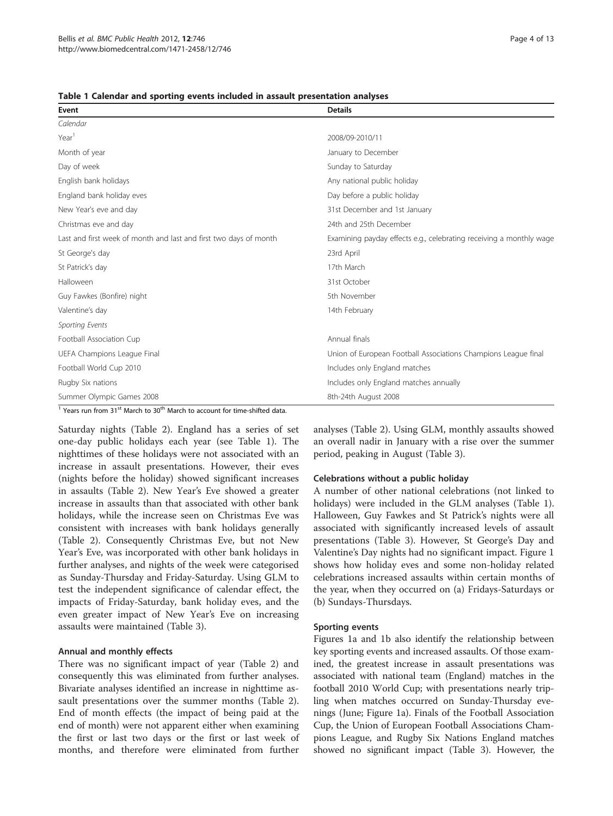<span id="page-3-0"></span>

| Event                                                             | <b>Details</b>                                                      |
|-------------------------------------------------------------------|---------------------------------------------------------------------|
| Calendar                                                          |                                                                     |
| Year <sup>1</sup>                                                 | 2008/09-2010/11                                                     |
| Month of year                                                     | January to December                                                 |
| Day of week                                                       | Sunday to Saturday                                                  |
| English bank holidays                                             | Any national public holiday                                         |
| England bank holiday eves                                         | Day before a public holiday                                         |
| New Year's eve and day                                            | 31st December and 1st January                                       |
| Christmas eve and day                                             | 24th and 25th December                                              |
| Last and first week of month and last and first two days of month | Examining payday effects e.g., celebrating receiving a monthly wage |
| St George's day                                                   | 23rd April                                                          |
| St Patrick's day                                                  | 17th March                                                          |
| Halloween                                                         | 31st October                                                        |
| Guy Fawkes (Bonfire) night                                        | 5th November                                                        |
| Valentine's day                                                   | 14th February                                                       |
| Sporting Events                                                   |                                                                     |
| Football Association Cup                                          | Annual finals                                                       |
| UEFA Champions League Final                                       | Union of European Football Associations Champions League final      |
| Football World Cup 2010                                           | Includes only England matches                                       |
| Rugby Six nations                                                 | Includes only England matches annually                              |
| Summer Olympic Games 2008                                         | 8th-24th August 2008                                                |

 $1$  Years run from 31<sup>st</sup> March to 30<sup>th</sup> March to account for time-shifted data.

Saturday nights (Table [2](#page-4-0)). England has a series of set one-day public holidays each year (see Table 1). The nighttimes of these holidays were not associated with an increase in assault presentations. However, their eves (nights before the holiday) showed significant increases in assaults (Table [2](#page-4-0)). New Year's Eve showed a greater increase in assaults than that associated with other bank holidays, while the increase seen on Christmas Eve was consistent with increases with bank holidays generally (Table [2](#page-4-0)). Consequently Christmas Eve, but not New Year's Eve, was incorporated with other bank holidays in further analyses, and nights of the week were categorised as Sunday-Thursday and Friday-Saturday. Using GLM to test the independent significance of calendar effect, the impacts of Friday-Saturday, bank holiday eves, and the even greater impact of New Year's Eve on increasing assaults were maintained (Table [3](#page-5-0)).

#### Annual and monthly effects

There was no significant impact of year (Table [2\)](#page-4-0) and consequently this was eliminated from further analyses. Bivariate analyses identified an increase in nighttime assault presentations over the summer months (Table [2](#page-4-0)). End of month effects (the impact of being paid at the end of month) were not apparent either when examining the first or last two days or the first or last week of months, and therefore were eliminated from further analyses (Table [2](#page-4-0)). Using GLM, monthly assaults showed an overall nadir in January with a rise over the summer period, peaking in August (Table [3\)](#page-5-0).

#### Celebrations without a public holiday

A number of other national celebrations (not linked to holidays) were included in the GLM analyses (Table 1). Halloween, Guy Fawkes and St Patrick's nights were all associated with significantly increased levels of assault presentations (Table [3\)](#page-5-0). However, St George's Day and Valentine's Day nights had no significant impact. Figure [1](#page-6-0) shows how holiday eves and some non-holiday related celebrations increased assaults within certain months of the year, when they occurred on (a) Fridays-Saturdays or (b) Sundays-Thursdays.

#### Sporting events

Figures [1a](#page-6-0) and [1b](#page-6-0) also identify the relationship between key sporting events and increased assaults. Of those examined, the greatest increase in assault presentations was associated with national team (England) matches in the football 2010 World Cup; with presentations nearly tripling when matches occurred on Sunday-Thursday evenings (June; Figure [1a](#page-6-0)). Finals of the Football Association Cup, the Union of European Football Associations Champions League, and Rugby Six Nations England matches showed no significant impact (Table [3\)](#page-5-0). However, the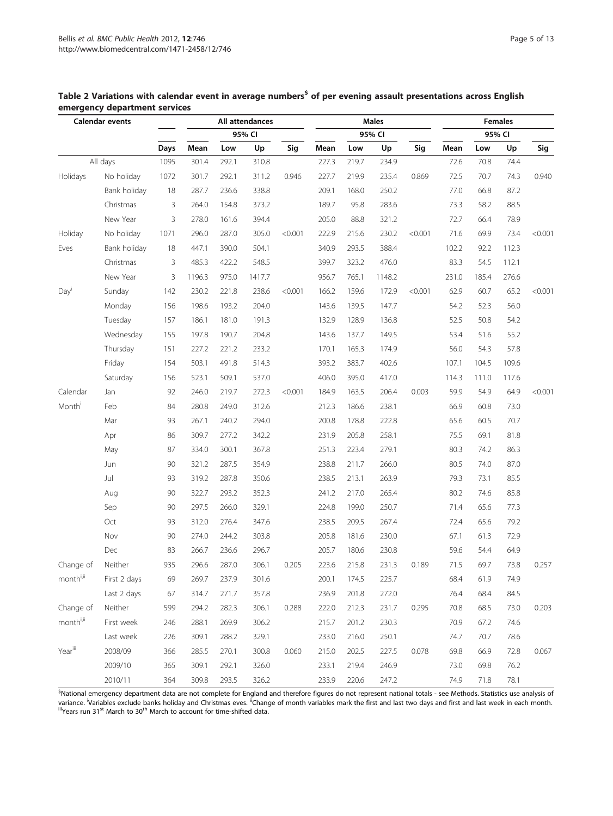<span id="page-4-0"></span>

| Table 2 Variations with calendar event in average numbers <sup>\$</sup> of per evening assault presentations across English |  |
|-----------------------------------------------------------------------------------------------------------------------------|--|
| emergency department services                                                                                               |  |

| <b>Calendar events</b> |              |      | All attendances |       |        | <b>Males</b> |       |       |        | <b>Females</b> |       |       |       |         |
|------------------------|--------------|------|-----------------|-------|--------|--------------|-------|-------|--------|----------------|-------|-------|-------|---------|
|                        |              |      | 95% CI          |       |        | 95% CI       |       |       |        | 95% CI         |       |       |       |         |
|                        |              | Days | Mean            | Low   | Up     | Sig          | Mean  | Low   | Up     | Sig            | Mean  | Low   | Up    | Sig     |
|                        | All days     | 1095 | 301.4           | 292.1 | 310.8  |              | 227.3 | 219.7 | 234.9  |                | 72.6  | 70.8  | 74.4  |         |
| Holidays               | No holiday   | 1072 | 301.7           | 292.1 | 311.2  | 0.946        | 227.7 | 219.9 | 235.4  | 0.869          | 72.5  | 70.7  | 74.3  | 0.940   |
|                        | Bank holiday | 18   | 287.7           | 236.6 | 338.8  |              | 209.1 | 168.0 | 250.2  |                | 77.0  | 66.8  | 87.2  |         |
|                        | Christmas    | 3    | 264.0           | 154.8 | 373.2  |              | 189.7 | 95.8  | 283.6  |                | 73.3  | 58.2  | 88.5  |         |
|                        | New Year     | 3    | 278.0           | 161.6 | 394.4  |              | 205.0 | 88.8  | 321.2  |                | 72.7  | 66.4  | 78.9  |         |
| Holiday                | No holiday   | 1071 | 296.0           | 287.0 | 305.0  | < 0.001      | 222.9 | 215.6 | 230.2  | < 0.001        | 71.6  | 69.9  | 73.4  | < 0.001 |
| Eves                   | Bank holiday | 18   | 447.1           | 390.0 | 504.1  |              | 340.9 | 293.5 | 388.4  |                | 102.2 | 92.2  | 112.3 |         |
|                        | Christmas    | 3    | 485.3           | 422.2 | 548.5  |              | 399.7 | 323.2 | 476.0  |                | 83.3  | 54.5  | 112.1 |         |
|                        | New Year     | 3    | 1196.3          | 975.0 | 1417.7 |              | 956.7 | 765.1 | 1148.2 |                | 231.0 | 185.4 | 276.6 |         |
| Day <sup>1</sup>       | Sunday       | 142  | 230.2           | 221.8 | 238.6  | < 0.001      | 166.2 | 159.6 | 172.9  | < 0.001        | 62.9  | 60.7  | 65.2  | < 0.001 |
|                        | Monday       | 156  | 198.6           | 193.2 | 204.0  |              | 143.6 | 139.5 | 147.7  |                | 54.2  | 52.3  | 56.0  |         |
|                        | Tuesday      | 157  | 186.1           | 181.0 | 191.3  |              | 132.9 | 128.9 | 136.8  |                | 52.5  | 50.8  | 54.2  |         |
|                        | Wednesday    | 155  | 197.8           | 190.7 | 204.8  |              | 143.6 | 137.7 | 149.5  |                | 53.4  | 51.6  | 55.2  |         |
|                        | Thursday     | 151  | 227.2           | 221.2 | 233.2  |              | 170.1 | 165.3 | 174.9  |                | 56.0  | 54.3  | 57.8  |         |
|                        | Friday       | 154  | 503.1           | 491.8 | 514.3  |              | 393.2 | 383.7 | 402.6  |                | 107.1 | 104.5 | 109.6 |         |
|                        | Saturday     | 156  | 523.1           | 509.1 | 537.0  |              | 406.0 | 395.0 | 417.0  |                | 114.3 | 111.0 | 117.6 |         |
| Calendar               | Jan          | 92   | 246.0           | 219.7 | 272.3  | < 0.001      | 184.9 | 163.5 | 206.4  | 0.003          | 59.9  | 54.9  | 64.9  | < 0.001 |
| Month                  | Feb          | 84   | 280.8           | 249.0 | 312.6  |              | 212.3 | 186.6 | 238.1  |                | 66.9  | 60.8  | 73.0  |         |
|                        | Mar          | 93   | 267.1           | 240.2 | 294.0  |              | 200.8 | 178.8 | 222.8  |                | 65.6  | 60.5  | 70.7  |         |
|                        | Apr          | 86   | 309.7           | 277.2 | 342.2  |              | 231.9 | 205.8 | 258.1  |                | 75.5  | 69.1  | 81.8  |         |
|                        | May          | 87   | 334.0           | 300.1 | 367.8  |              | 251.3 | 223.4 | 279.1  |                | 80.3  | 74.2  | 86.3  |         |
|                        | Jun          | 90   | 321.2           | 287.5 | 354.9  |              | 238.8 | 211.7 | 266.0  |                | 80.5  | 74.0  | 87.0  |         |
|                        | Jul          | 93   | 319.2           | 287.8 | 350.6  |              | 238.5 | 213.1 | 263.9  |                | 79.3  | 73.1  | 85.5  |         |
|                        | Aug          | 90   | 322.7           | 293.2 | 352.3  |              | 241.2 | 217.0 | 265.4  |                | 80.2  | 74.6  | 85.8  |         |
|                        | Sep          | 90   | 297.5           | 266.0 | 329.1  |              | 224.8 | 199.0 | 250.7  |                | 71.4  | 65.6  | 77.3  |         |
|                        | Oct          | 93   | 312.0           | 276.4 | 347.6  |              | 238.5 | 209.5 | 267.4  |                | 72.4  | 65.6  | 79.2  |         |
|                        | Nov          | 90   | 274.0           | 244.2 | 303.8  |              | 205.8 | 181.6 | 230.0  |                | 67.1  | 61.3  | 72.9  |         |
|                        | Dec          | 83   | 266.7           | 236.6 | 296.7  |              | 205.7 | 180.6 | 230.8  |                | 59.6  | 54.4  | 64.9  |         |
| Change of              | Neither      | 935  | 296.6           | 287.0 | 306.1  | 0.205        | 223.6 | 215.8 | 231.3  | 0.189          | 71.5  | 69.7  | 73.8  | 0.257   |
| monthi,ii              | First 2 days | 69   | 269.7           | 237.9 | 301.6  |              | 200.1 | 174.5 | 225.7  |                | 68.4  | 61.9  | 74.9  |         |
|                        | Last 2 days  | 67   | 314.7           | 271.7 | 357.8  |              | 236.9 | 201.8 | 272.0  |                | 76.4  | 68.4  | 84.5  |         |
| Change of              | Neither      | 599  | 294.2           | 282.3 | 306.1  | 0.288        | 222.0 | 212.3 | 231.7  | 0.295          | 70.8  | 68.5  | 73.0  | 0.203   |
| month <sup>i,ii</sup>  | First week   | 246  | 288.1           | 269.9 | 306.2  |              | 215.7 | 201.2 | 230.3  |                | 70.9  | 67.2  | 74.6  |         |
|                        | Last week    | 226  | 309.1           | 288.2 | 329.1  |              | 233.0 | 216.0 | 250.1  |                | 74.7  | 70.7  | 78.6  |         |
| Yeariii                | 2008/09      | 366  | 285.5           | 270.1 | 300.8  | 0.060        | 215.0 | 202.5 | 227.5  | 0.078          | 69.8  | 66.9  | 72.8  | 0.067   |
|                        | 2009/10      | 365  | 309.1           | 292.1 | 326.0  |              | 233.1 | 219.4 | 246.9  |                | 73.0  | 69.8  | 76.2  |         |
|                        | 2010/11      | 364  | 309.8           | 293.5 | 326.2  |              | 233.9 | 220.6 | 247.2  |                | 74.9  | 71.8  | 78.1  |         |

<sup>s</sup>National emergency department data are not complete for England and therefore figures do not represent national totals - see Methods. Statistics use analysis of<br>variance. <sup>i</sup>Variables exclude banks holiday and Christmas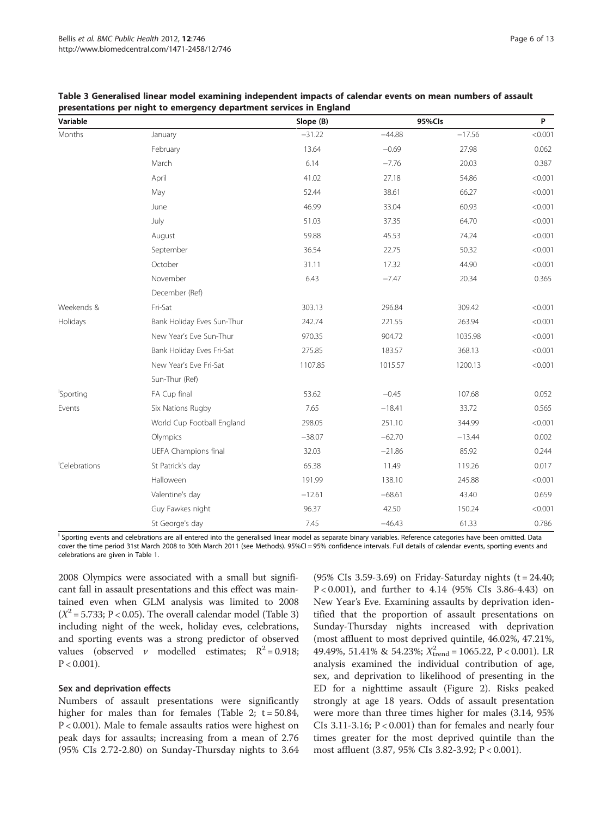| Variable                  |                            | Slope (B) | 95%Cls   | P        |         |
|---------------------------|----------------------------|-----------|----------|----------|---------|
| Months                    | January                    | $-31.22$  | $-44.88$ | $-17.56$ | < 0.001 |
|                           | February                   | 13.64     | $-0.69$  | 27.98    | 0.062   |
|                           | March                      | 6.14      | $-7.76$  | 20.03    | 0.387   |
|                           | April                      | 41.02     | 27.18    | 54.86    | < 0.001 |
|                           | May                        | 52.44     | 38.61    | 66.27    | < 0.001 |
|                           | June                       | 46.99     | 33.04    | 60.93    | < 0.001 |
|                           | July                       | 51.03     | 37.35    | 64.70    | < 0.001 |
|                           | August                     | 59.88     | 45.53    | 74.24    | < 0.001 |
|                           | September                  | 36.54     | 22.75    | 50.32    | < 0.001 |
|                           | October                    | 31.11     | 17.32    | 44.90    | < 0.001 |
|                           | November                   | 6.43      | $-7.47$  | 20.34    | 0.365   |
|                           | December (Ref)             |           |          |          |         |
| Weekends &                | Fri-Sat                    | 303.13    | 296.84   | 309.42   | < 0.001 |
| Holidays                  | Bank Holiday Eves Sun-Thur | 242.74    | 221.55   | 263.94   | < 0.001 |
|                           | New Year's Eve Sun-Thur    | 970.35    | 904.72   | 1035.98  | < 0.001 |
|                           | Bank Holiday Eves Fri-Sat  | 275.85    | 183.57   | 368.13   | < 0.001 |
|                           | New Year's Eve Fri-Sat     | 1107.85   | 1015.57  | 1200.13  | < 0.001 |
|                           | Sun-Thur (Ref)             |           |          |          |         |
| Sporting                  | FA Cup final               | 53.62     | $-0.45$  | 107.68   | 0.052   |
| Events                    | Six Nations Rugby          | 7.65      | $-18.41$ | 33.72    | 0.565   |
|                           | World Cup Football England | 298.05    | 251.10   | 344.99   | < 0.001 |
|                           | Olympics                   | $-38.07$  | $-62.70$ | $-13.44$ | 0.002   |
|                           | UEFA Champions final       | 32.03     | $-21.86$ | 85.92    | 0.244   |
| <sup>i</sup> Celebrations | St Patrick's day           | 65.38     | 11.49    | 119.26   | 0.017   |
|                           | Halloween                  | 191.99    | 138.10   | 245.88   | < 0.001 |
|                           | Valentine's day            | $-12.61$  | $-68.61$ | 43.40    | 0.659   |
|                           | Guy Fawkes night           | 96.37     | 42.50    | 150.24   | < 0.001 |
|                           | St George's day            | 7.45      | $-46.43$ | 61.33    | 0.786   |

<span id="page-5-0"></span>Table 3 Generalised linear model examining independent impacts of calendar events on mean numbers of assault presentations per night to emergency department services in England

i Sporting events and celebrations are all entered into the generalised linear model as separate binary variables. Reference categories have been omitted. Data cover the time period 31st March 2008 to 30th March 2011 (see Methods). 95%CI = 95% confidence intervals. Full details of calendar events, sporting events and celebrations are given in Table [1](#page-3-0).

2008 Olympics were associated with a small but significant fall in assault presentations and this effect was maintained even when GLM analysis was limited to 2008  $(X^2 = 5.733; P < 0.05)$ . The overall calendar model (Table 3) including night of the week, holiday eves, celebrations, and sporting events was a strong predictor of observed values (observed  $v$  modelled estimates;  $R^2 = 0.918$ ;  $P < 0.001$ ).

#### Sex and deprivation effects

Numbers of assault presentations were significantly higher for males than for females (Table [2;](#page-4-0)  $t = 50.84$ , P < 0.001). Male to female assaults ratios were highest on peak days for assaults; increasing from a mean of 2.76 (95% CIs 2.72-2.80) on Sunday-Thursday nights to 3.64

(95% CIs 3.59-3.69) on Friday-Saturday nights  $(t = 24.40;$ P < 0.001), and further to 4.14 (95% CIs 3.86-4.43) on New Year's Eve. Examining assaults by deprivation identified that the proportion of assault presentations on Sunday-Thursday nights increased with deprivation (most affluent to most deprived quintile, 46.02%, 47.21%, 49.49%, 51.41% & 54.23%;  $X_{\text{trend}}^2 = 1065.22$ , P < 0.001). LR analysis examined the individual contribution of age, sex, and deprivation to likelihood of presenting in the ED for a nighttime assault (Figure [2](#page-7-0)). Risks peaked strongly at age 18 years. Odds of assault presentation were more than three times higher for males (3.14, 95% CIs 3.11-3.16;  $P < 0.001$ ) than for females and nearly four times greater for the most deprived quintile than the most affluent (3.87, 95% CIs 3.82-3.92; P < 0.001).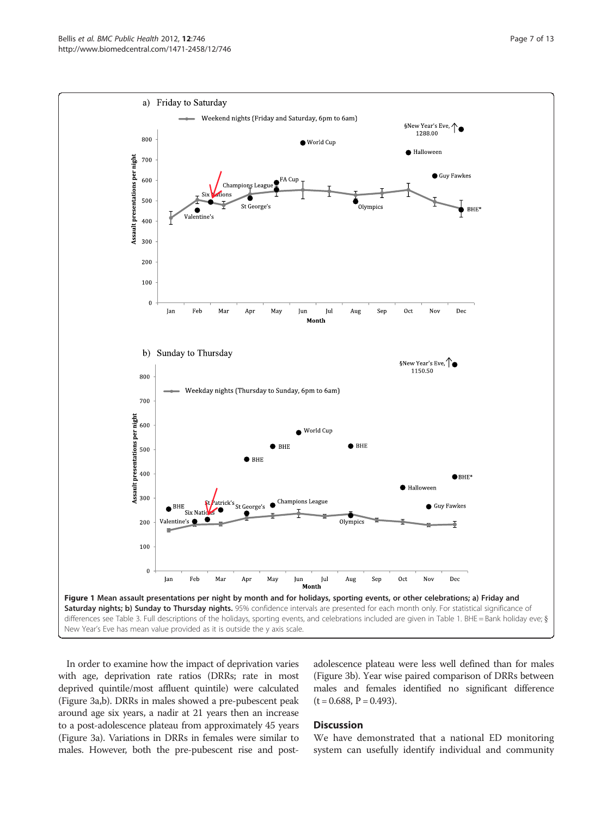<span id="page-6-0"></span>

In order to examine how the impact of deprivation varies with age, deprivation rate ratios (DRRs; rate in most deprived quintile/most affluent quintile) were calculated (Figure [3a,b\)](#page-8-0). DRRs in males showed a pre-pubescent peak around age six years, a nadir at 21 years then an increase to a post-adolescence plateau from approximately 45 years (Figure [3a](#page-8-0)). Variations in DRRs in females were similar to males. However, both the pre-pubescent rise and postadolescence plateau were less well defined than for males (Figure [3b](#page-8-0)). Year wise paired comparison of DRRs between males and females identified no significant difference  $(t = 0.688, P = 0.493).$ 

# **Discussion**

We have demonstrated that a national ED monitoring system can usefully identify individual and community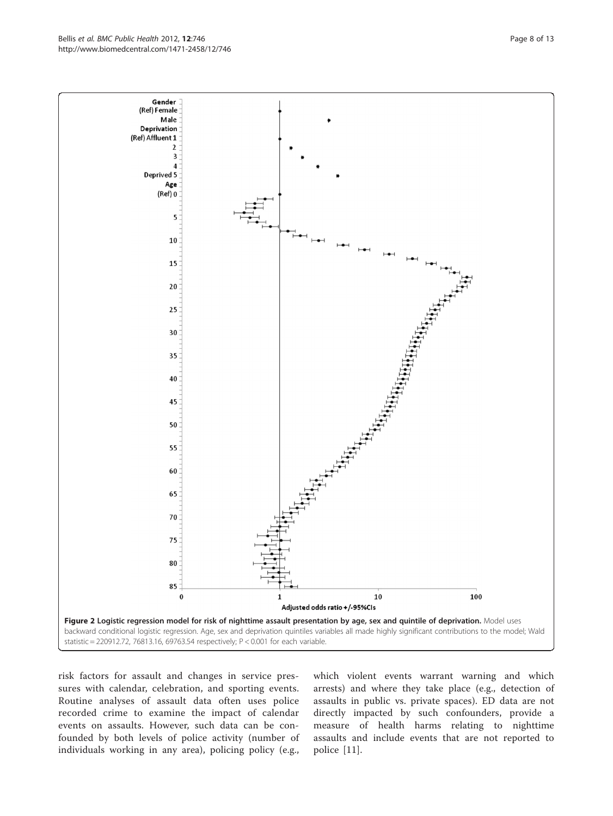<span id="page-7-0"></span>Bellis et al. BMC Public Health 2012, 12:746 Page 8 of 13 http://www.biomedcentral.com/1471-2458/12/746



risk factors for assault and changes in service pressures with calendar, celebration, and sporting events. Routine analyses of assault data often uses police recorded crime to examine the impact of calendar events on assaults. However, such data can be confounded by both levels of police activity (number of individuals working in any area), policing policy (e.g.,

which violent events warrant warning and which arrests) and where they take place (e.g., detection of assaults in public vs. private spaces). ED data are not directly impacted by such confounders, provide a measure of health harms relating to nighttime assaults and include events that are not reported to police [[11\]](#page-11-0).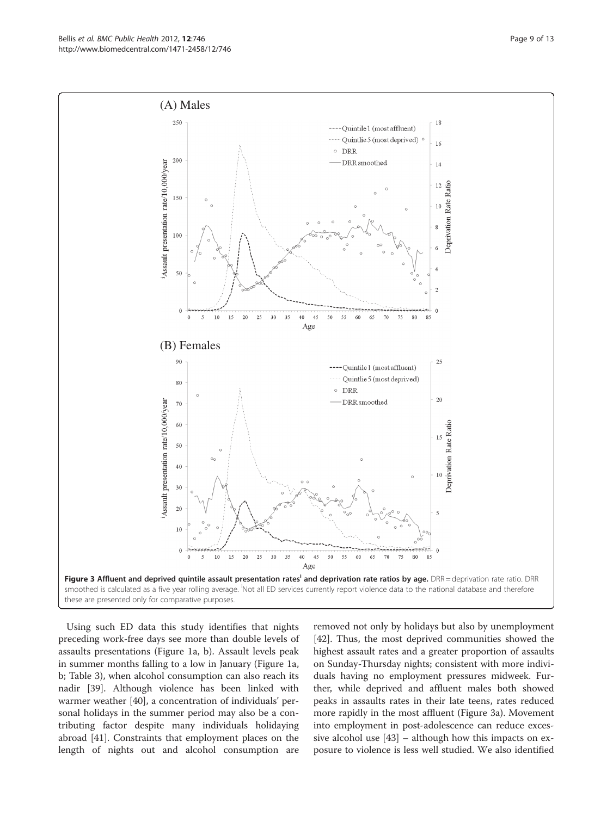<span id="page-8-0"></span>

Using such ED data this study identifies that nights preceding work-free days see more than double levels of assaults presentations (Figure [1a, b\)](#page-6-0). Assault levels peak in summer months falling to a low in January (Figure [1a,](#page-6-0) [b;](#page-6-0) Table [3](#page-5-0)), when alcohol consumption can also reach its nadir [[39\]](#page-12-0). Although violence has been linked with warmer weather [\[40\]](#page-12-0), a concentration of individuals' personal holidays in the summer period may also be a contributing factor despite many individuals holidaying abroad [\[41](#page-12-0)]. Constraints that employment places on the length of nights out and alcohol consumption are

removed not only by holidays but also by unemployment [[42\]](#page-12-0). Thus, the most deprived communities showed the highest assault rates and a greater proportion of assaults on Sunday-Thursday nights; consistent with more individuals having no employment pressures midweek. Further, while deprived and affluent males both showed peaks in assaults rates in their late teens, rates reduced more rapidly in the most affluent (Figure 3a). Movement into employment in post-adolescence can reduce excessive alcohol use [\[43](#page-12-0)] – although how this impacts on exposure to violence is less well studied. We also identified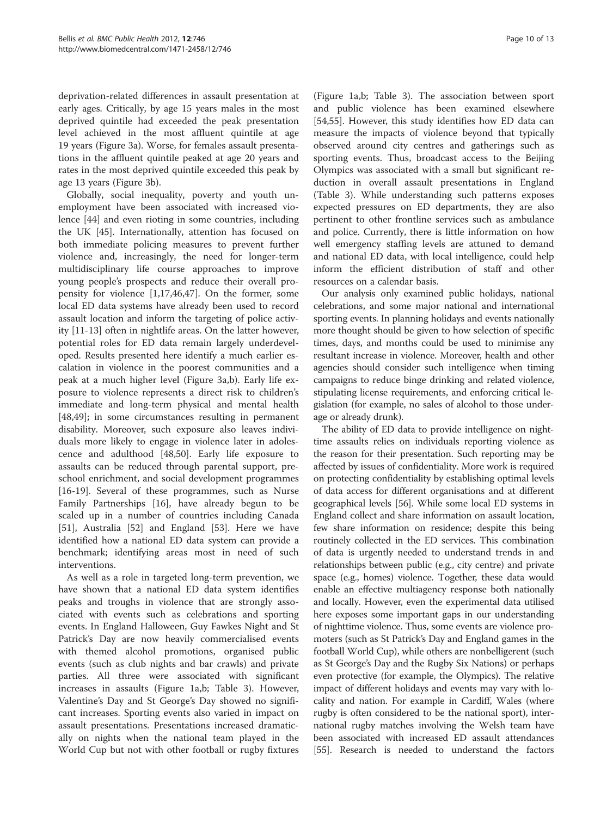deprivation-related differences in assault presentation at early ages. Critically, by age 15 years males in the most deprived quintile had exceeded the peak presentation level achieved in the most affluent quintile at age 19 years (Figure [3a](#page-8-0)). Worse, for females assault presentations in the affluent quintile peaked at age 20 years and rates in the most deprived quintile exceeded this peak by age 13 years (Figure [3b](#page-8-0)).

Globally, social inequality, poverty and youth unemployment have been associated with increased violence [\[44](#page-12-0)] and even rioting in some countries, including the UK [\[45](#page-12-0)]. Internationally, attention has focused on both immediate policing measures to prevent further violence and, increasingly, the need for longer-term multidisciplinary life course approaches to improve young people's prospects and reduce their overall propensity for violence [\[1](#page-11-0),[17](#page-11-0)[,46,47](#page-12-0)]. On the former, some local ED data systems have already been used to record assault location and inform the targeting of police activity [[11-13](#page-11-0)] often in nightlife areas. On the latter however, potential roles for ED data remain largely underdeveloped. Results presented here identify a much earlier escalation in violence in the poorest communities and a peak at a much higher level (Figure [3a,b\)](#page-8-0). Early life exposure to violence represents a direct risk to children's immediate and long-term physical and mental health [[48,49\]](#page-12-0); in some circumstances resulting in permanent disability. Moreover, such exposure also leaves individuals more likely to engage in violence later in adolescence and adulthood [\[48,50\]](#page-12-0). Early life exposure to assaults can be reduced through parental support, preschool enrichment, and social development programmes [[16-19](#page-11-0)]. Several of these programmes, such as Nurse Family Partnerships [\[16](#page-11-0)], have already begun to be scaled up in a number of countries including Canada [[51\]](#page-12-0), Australia [[52](#page-12-0)] and England [\[53](#page-12-0)]. Here we have identified how a national ED data system can provide a benchmark; identifying areas most in need of such interventions.

As well as a role in targeted long-term prevention, we have shown that a national ED data system identifies peaks and troughs in violence that are strongly associated with events such as celebrations and sporting events. In England Halloween, Guy Fawkes Night and St Patrick's Day are now heavily commercialised events with themed alcohol promotions, organised public events (such as club nights and bar crawls) and private parties. All three were associated with significant increases in assaults (Figure [1a,b](#page-6-0); Table [3\)](#page-5-0). However, Valentine's Day and St George's Day showed no significant increases. Sporting events also varied in impact on assault presentations. Presentations increased dramatically on nights when the national team played in the World Cup but not with other football or rugby fixtures

(Figure [1a,b;](#page-6-0) Table [3\)](#page-5-0). The association between sport and public violence has been examined elsewhere [[54,55\]](#page-12-0). However, this study identifies how ED data can measure the impacts of violence beyond that typically observed around city centres and gatherings such as sporting events. Thus, broadcast access to the Beijing Olympics was associated with a small but significant reduction in overall assault presentations in England (Table [3](#page-5-0)). While understanding such patterns exposes expected pressures on ED departments, they are also pertinent to other frontline services such as ambulance and police. Currently, there is little information on how well emergency staffing levels are attuned to demand and national ED data, with local intelligence, could help inform the efficient distribution of staff and other resources on a calendar basis.

Our analysis only examined public holidays, national celebrations, and some major national and international sporting events. In planning holidays and events nationally more thought should be given to how selection of specific times, days, and months could be used to minimise any resultant increase in violence. Moreover, health and other agencies should consider such intelligence when timing campaigns to reduce binge drinking and related violence, stipulating license requirements, and enforcing critical legislation (for example, no sales of alcohol to those underage or already drunk).

The ability of ED data to provide intelligence on nighttime assaults relies on individuals reporting violence as the reason for their presentation. Such reporting may be affected by issues of confidentiality. More work is required on protecting confidentiality by establishing optimal levels of data access for different organisations and at different geographical levels [\[56\]](#page-12-0). While some local ED systems in England collect and share information on assault location, few share information on residence; despite this being routinely collected in the ED services. This combination of data is urgently needed to understand trends in and relationships between public (e.g., city centre) and private space (e.g., homes) violence. Together, these data would enable an effective multiagency response both nationally and locally. However, even the experimental data utilised here exposes some important gaps in our understanding of nighttime violence. Thus, some events are violence promoters (such as St Patrick's Day and England games in the football World Cup), while others are nonbelligerent (such as St George's Day and the Rugby Six Nations) or perhaps even protective (for example, the Olympics). The relative impact of different holidays and events may vary with locality and nation. For example in Cardiff, Wales (where rugby is often considered to be the national sport), international rugby matches involving the Welsh team have been associated with increased ED assault attendances [[55](#page-12-0)]. Research is needed to understand the factors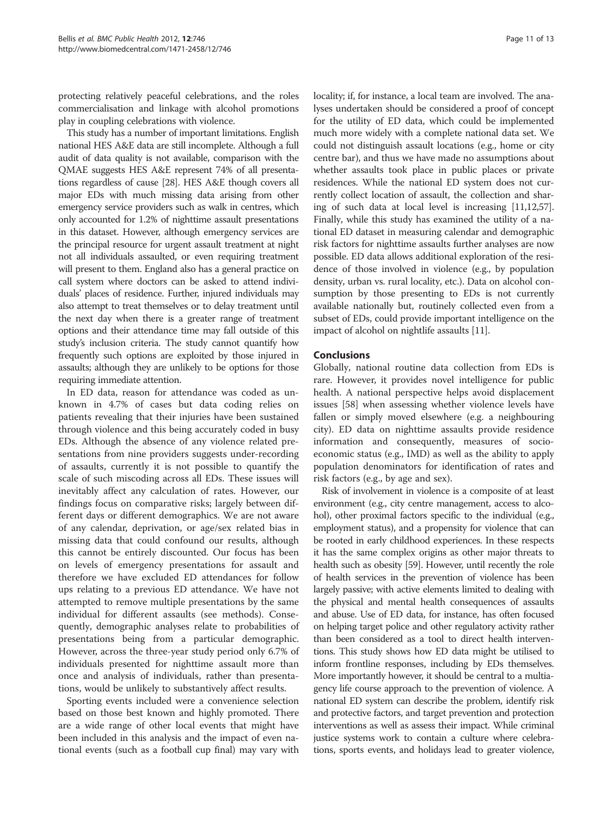protecting relatively peaceful celebrations, and the roles commercialisation and linkage with alcohol promotions play in coupling celebrations with violence.

This study has a number of important limitations. English national HES A&E data are still incomplete. Although a full audit of data quality is not available, comparison with the QMAE suggests HES A&E represent 74% of all presentations regardless of cause [\[28\]](#page-11-0). HES A&E though covers all major EDs with much missing data arising from other emergency service providers such as walk in centres, which only accounted for 1.2% of nighttime assault presentations in this dataset. However, although emergency services are the principal resource for urgent assault treatment at night not all individuals assaulted, or even requiring treatment will present to them. England also has a general practice on call system where doctors can be asked to attend individuals' places of residence. Further, injured individuals may also attempt to treat themselves or to delay treatment until the next day when there is a greater range of treatment options and their attendance time may fall outside of this study's inclusion criteria. The study cannot quantify how frequently such options are exploited by those injured in assaults; although they are unlikely to be options for those requiring immediate attention.

In ED data, reason for attendance was coded as unknown in 4.7% of cases but data coding relies on patients revealing that their injuries have been sustained through violence and this being accurately coded in busy EDs. Although the absence of any violence related presentations from nine providers suggests under-recording of assaults, currently it is not possible to quantify the scale of such miscoding across all EDs. These issues will inevitably affect any calculation of rates. However, our findings focus on comparative risks; largely between different days or different demographics. We are not aware of any calendar, deprivation, or age/sex related bias in missing data that could confound our results, although this cannot be entirely discounted. Our focus has been on levels of emergency presentations for assault and therefore we have excluded ED attendances for follow ups relating to a previous ED attendance. We have not attempted to remove multiple presentations by the same individual for different assaults (see methods). Consequently, demographic analyses relate to probabilities of presentations being from a particular demographic. However, across the three-year study period only 6.7% of individuals presented for nighttime assault more than once and analysis of individuals, rather than presentations, would be unlikely to substantively affect results.

Sporting events included were a convenience selection based on those best known and highly promoted. There are a wide range of other local events that might have been included in this analysis and the impact of even national events (such as a football cup final) may vary with locality; if, for instance, a local team are involved. The analyses undertaken should be considered a proof of concept for the utility of ED data, which could be implemented much more widely with a complete national data set. We could not distinguish assault locations (e.g., home or city centre bar), and thus we have made no assumptions about whether assaults took place in public places or private residences. While the national ED system does not currently collect location of assault, the collection and sharing of such data at local level is increasing [\[11,12,](#page-11-0)[57](#page-12-0)]. Finally, while this study has examined the utility of a national ED dataset in measuring calendar and demographic risk factors for nighttime assaults further analyses are now possible. ED data allows additional exploration of the residence of those involved in violence (e.g., by population density, urban vs. rural locality, etc.). Data on alcohol consumption by those presenting to EDs is not currently available nationally but, routinely collected even from a subset of EDs, could provide important intelligence on the impact of alcohol on nightlife assaults [\[11](#page-11-0)].

# Conclusions

Globally, national routine data collection from EDs is rare. However, it provides novel intelligence for public health. A national perspective helps avoid displacement issues [[58](#page-12-0)] when assessing whether violence levels have fallen or simply moved elsewhere (e.g. a neighbouring city). ED data on nighttime assaults provide residence information and consequently, measures of socioeconomic status (e.g., IMD) as well as the ability to apply population denominators for identification of rates and risk factors (e.g., by age and sex).

Risk of involvement in violence is a composite of at least environment (e.g., city centre management, access to alcohol), other proximal factors specific to the individual (e.g., employment status), and a propensity for violence that can be rooted in early childhood experiences. In these respects it has the same complex origins as other major threats to health such as obesity [[59](#page-12-0)]. However, until recently the role of health services in the prevention of violence has been largely passive; with active elements limited to dealing with the physical and mental health consequences of assaults and abuse. Use of ED data, for instance, has often focused on helping target police and other regulatory activity rather than been considered as a tool to direct health interventions. This study shows how ED data might be utilised to inform frontline responses, including by EDs themselves. More importantly however, it should be central to a multiagency life course approach to the prevention of violence. A national ED system can describe the problem, identify risk and protective factors, and target prevention and protection interventions as well as assess their impact. While criminal justice systems work to contain a culture where celebrations, sports events, and holidays lead to greater violence,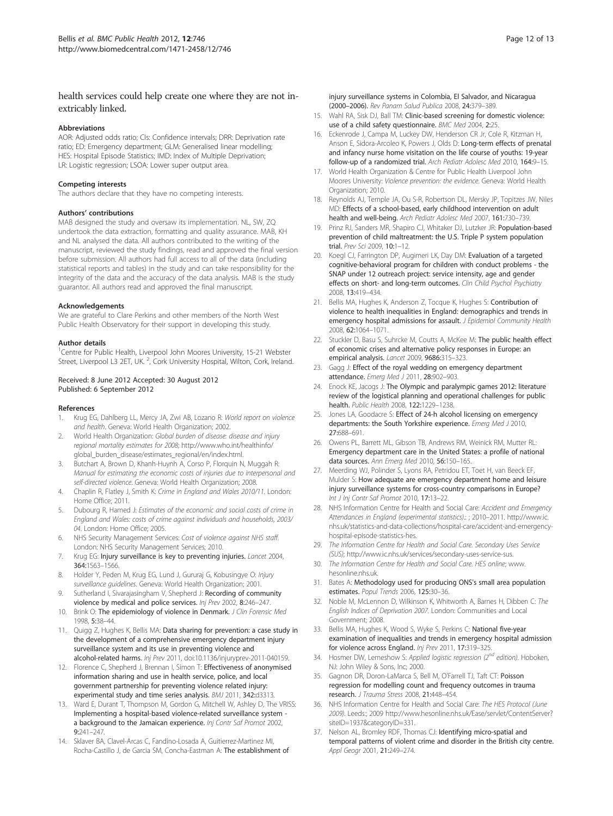#### <span id="page-11-0"></span>health services could help create one where they are not inextricably linked.

#### Abbreviations

AOR: Adjusted odds ratio; CIs: Confidence intervals; DRR: Deprivation rate ratio; ED: Emergency department; GLM: Generalised linear modelling; HES: Hospital Episode Statistics; IMD: Index of Multiple Deprivation; LR: Logistic regression; LSOA: Lower super output area.

#### Competing interests

The authors declare that they have no competing interests.

#### Authors' contributions

MAB designed the study and oversaw its implementation. NL, SW, ZQ undertook the data extraction, formatting and quality assurance. MAB, KH and NL analysed the data. All authors contributed to the writing of the manuscript, reviewed the study findings, read and approved the final version before submission. All authors had full access to all of the data (including statistical reports and tables) in the study and can take responsibility for the integrity of the data and the accuracy of the data analysis. MAB is the study guarantor. All authors read and approved the final manuscript.

#### Acknowledgements

We are grateful to Clare Perkins and other members of the North West Public Health Observatory for their support in developing this study.

#### Author details

<sup>1</sup>Centre for Public Health, Liverpool John Moores University, 15-21 Webster Street, Liverpool L3 2ET, UK.<sup>2</sup>, Cork University Hospital, Wilton, Cork, Ireland.

#### Received: 8 June 2012 Accepted: 30 August 2012 Published: 6 September 2012

#### References

- 1. Krug EG, Dahlberg LL, Mercy JA, Zwi AB, Lozano R: World report on violence and health. Geneva: World Health Organization; 2002.
- 2. World Health Organization: Global burden of disease: disease and injury regional mortality estimates for 2008; [http://www.who.int/healthinfo/](http://www.who.int/healthinfo/global_burden_disease/estimates_regional/en/index.html) global burden disease/estimates regional/en/index.html.
- Butchart A, Brown D, Khanh-Huynh A, Corso P, Florquin N, Muggah R: Manual for estimating the economic costs of injuries due to interpersonal and self-directed violence. Geneva: World Health Organization; 2008.
- 4. Chaplin R, Flatley J, Smith K: Crime in England and Wales 2010/11. London: Home Office; 2011.
- 5. Dubourg R, Hamed J: Estimates of the economic and social costs of crime in England and Wales: costs of crime against individuals and households, 2003/ 04. London: Home Office; 2005.
- NHS Security Management Services: Cost of violence against NHS staff. London: NHS Security Management Services; 2010.
- 7. Krug EG: Injury surveillance is key to preventing injuries. Lancet 2004, 364:1563–1566.
- 8. Holder Y, Peden M, Krug EG, Lund J, Gururaj G, Kobusingye O: Injury surveillance guidelines. Geneva: World Health Organization; 2001.
- 9. Sutherland I, Sivarajasingham V, Shepherd J: Recording of community violence by medical and police services. Inj Prev 2002, 8:246–247.
- 10. Brink O: The epidemiology of violence in Denmark. J Clin Forensic Med 1998, 5:38–44.
- 11. Quigg Z, Hughes K, Bellis MA: Data sharing for prevention: a case study in the development of a comprehensive emergency department injury surveillance system and its use in preventing violence and alcohol-related harms. Inj Prev 2011, doi[:10.1136/injuryprev-2011-040159.](http://dx.doi.org/10.1136/injuryprev-2011-040159)
- 12. Florence C, Shepherd J, Brennan I, Simon T: Effectiveness of anonymised information sharing and use in health service, police, and local government partnership for preventing violence related injury: experimental study and time series analysis. BMJ 2011, 342:d3313.
- 13. Ward E, Durant T, Thompson M, Gordon G, Mitchell W, Ashley D, The VRISS: Implementing a hospital-based violence-related surveillance system a background to the Jamaican experience. Inj Contr Saf Promot 2002, 9:241–247.
- 14. Sklaver BA, Clavel-Arcas C, Fandino-Losada A, Guitierrez-Martinez MI, Rocha-Castillo J, de Garcia SM, Concha-Eastman A: The establishment of

injury surveillance systems in Colombia, El Salvador, and Nicaragua (2000–2006). Rev Panam Salud Publica 2008, 24:379–389.

- 15. Wahl RA, Sisk DJ, Ball TM: Clinic-based screening for domestic violence: use of a child safety questionnaire. BMC Med 2004, 2:25
- 16. Eckenrode J, Campa M, Luckey DW, Henderson CR Jr, Cole R, Kitzman H, Anson E, Sidora-Arcoleo K, Powers J, Olds D: Long-term effects of prenatal and infancy nurse home visitation on the life course of youths: 19-year follow-up of a randomized trial. Arch Pediatr Adolesc Med 2010, 164:9–15.
- 17. World Health Organization & Centre for Public Health Liverpool John Moores University: Violence prevention: the evidence. Geneva: World Health Organization; 2010.
- 18. Reynolds AJ, Temple JA, Ou S-R, Robertson DL, Mersky JP, Topitzes JW, Niles MD: Effects of a school-based, early childhood intervention on adult health and well-being. Arch Pediatr Adolesc Med 2007, 161:730–739.
- 19. Prinz RJ, Sanders MR, Shapiro CJ, Whitaker DJ, Lutzker JR: Population-based prevention of child maltreatment: the U.S. Triple P system population trial. Prev Sci 2009, 10:1–12.
- 20. Koegl CJ, Farrington DP, Augimeri LK, Day DM: Evaluation of a targeted cognitive-behavioral program for children with conduct problems - the SNAP under 12 outreach project: service intensity, age and gender effects on short- and long-term outcomes. Clin Child Psychol Psychiatry 2008, 13:419–434.
- 21. Bellis MA, Hughes K, Anderson Z, Tocque K, Hughes S: Contribution of violence to health inequalities in England: demographics and trends in emergency hospital admissions for assault. J Epidemiol Community Health 2008, 62:1064–1071.
- 22. Stuckler D, Basu S, Suhrcke M, Coutts A, McKee M: The public health effect of economic crises and alternative policy responses in Europe: an empirical analysis. Lancet 2009, 9686:315–323.
- 23. Gagg J: Effect of the royal wedding on emergency department attendance. Emerg Med J 2011, 28:902-903.
- 24. Enock KE, Jacogs J: The Olympic and paralympic games 2012: literature review of the logistical planning and operational challenges for public health. Public Health 2008, 122:1229–1238.
- 25. Jones LA, Goodacre S: Effect of 24-h alcohol licensing on emergency departments: the South Yorkshire experience. Emerg Med J 2010, 27:688–691.
- 26. Owens PL, Barrett ML, Gibson TB, Andrews RM, Weinick RM, Mutter RL: Emergency department care in the United States: a profile of national data sources. Ann Emerg Med 2010, 56:150–165.
- 27. Meerding WJ, Polinder S, Lyons RA, Petridou ET, Toet H, van Beeck EF, Mulder S: How adequate are emergency department home and leisure injury surveillance systems for cross-country comparisons in Europe? Int J Inj Contr Saf Promot 2010, 17:13-22.
- 28. NHS Information Centre for Health and Social Care: Accident and Emergency Attendances in England (experimental statistics).: ; 2010–2011. [http://www.ic.](http://www.ic.nhs.uk/statistics-and-data-collections/hospital-care/accident-and-emergency-hospital-episode-statistics-hes) [nhs.uk/statistics-and-data-collections/hospital-care/accident-and-emergency](http://www.ic.nhs.uk/statistics-and-data-collections/hospital-care/accident-and-emergency-hospital-episode-statistics-hes)[hospital-episode-statistics-hes.](http://www.ic.nhs.uk/statistics-and-data-collections/hospital-care/accident-and-emergency-hospital-episode-statistics-hes)
- 29. The Information Centre for Health and Social Care. Secondary Uses Service (SUS); [http://www.ic.nhs.uk/services/secondary-uses-service-sus.](http://www.ic.nhs.uk/services/secondary-uses-service-sus)
- 30. The Information Centre for Health and Social Care. HES online; [www.](http://www.hesonline.nhs.uk) [hesonline.nhs.uk](http://www.hesonline.nhs.uk).
- 31. Bates A: Methodology used for producing ONS's small area population estimates. Popul Trends 2006, 125:30–36.
- 32. Noble M, McLennon D, Wilkinson K, Whitworth A, Barnes H, Dibben C: The English Indices of Deprivation 2007. London: Communities and Local Government; 2008.
- 33. Bellis MA, Hughes K, Wood S, Wyke S, Perkins C: National five-year examination of inequalities and trends in emergency hospital admission for violence across England. Inj Prev 2011, 17:319–325.
- 34. Hosmer DW, Lemeshow S: Applied logistic regression (2<sup>nd</sup> edition). Hoboken, NJ: John Wiley & Sons, Inc; 2000.
- 35. Gagnon DR, Doron-LaMarca S, Bell M, O'Farrell TJ, Taft CT: Poisson regression for modelling count and frequency outcomes in trauma research. J Trauma Stress 2008, 21:448–454.
- 36. NHS Information Centre for Health and Social Care: The HES Protocol (June 2009). Leeds:; 2009 [http://www.hesonline.nhs.uk/Ease/servlet/ContentServer?](http://www.hesonline.nhs.uk/Ease/servlet/ContentServer?siteID=1937&categoryID=331) [siteID=1937&categoryID=331.](http://www.hesonline.nhs.uk/Ease/servlet/ContentServer?siteID=1937&categoryID=331)
- 37. Nelson AL, Bromley RDF, Thomas CJ: Identifying micro-spatial and temporal patterns of violent crime and disorder in the British city centre. Appl Geogr 2001, 21:249–274.